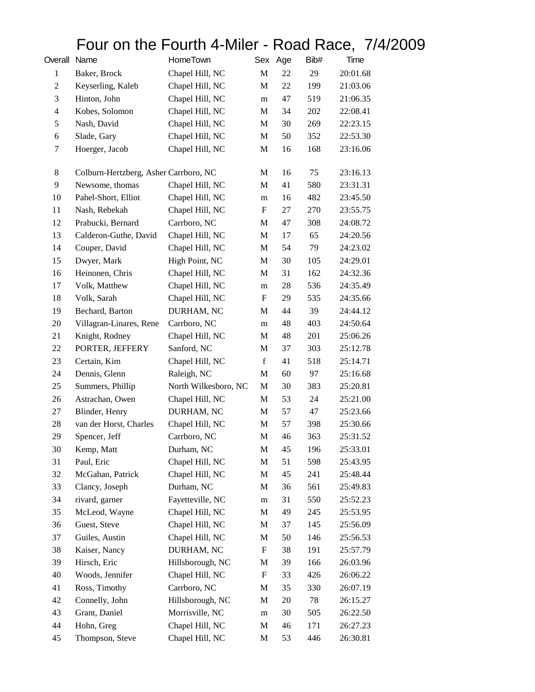## Four on the Fourth 4-Miler - Road Race, 7/4/2009

| Overall Name   |                                       | HomeTown             |             | Sex Age | Bib# | Time     |
|----------------|---------------------------------------|----------------------|-------------|---------|------|----------|
| $\mathbf{1}$   | Baker, Brock                          | Chapel Hill, NC      | M           | 22      | 29   | 20:01.68 |
| $\overline{c}$ | Keyserling, Kaleb                     | Chapel Hill, NC      | M           | 22      | 199  | 21:03.06 |
| 3              | Hinton, John                          | Chapel Hill, NC      | m           | 47      | 519  | 21:06.35 |
| 4              | Kobes, Solomon                        | Chapel Hill, NC      | М           | 34      | 202  | 22:08.41 |
| 5              | Nash, David                           | Chapel Hill, NC      | M           | 30      | 269  | 22:23.15 |
| 6              | Slade, Gary                           | Chapel Hill, NC      | M           | 50      | 352  | 22:53.30 |
| 7              | Hoerger, Jacob                        | Chapel Hill, NC      | M           | 16      | 168  | 23:16.06 |
| $\,8\,$        | Colburn-Hertzberg, Asher Carrboro, NC |                      | M           | 16      | 75   | 23:16.13 |
| 9              | Newsome, thomas                       | Chapel Hill, NC      | М           | 41      | 580  | 23:31.31 |
| 10             | Pahel-Short, Elliot                   | Chapel Hill, NC      | m           | 16      | 482  | 23:45.50 |
| 11             | Nash, Rebekah                         | Chapel Hill, NC      | F           | 27      | 270  | 23:55.75 |
| 12             | Prabucki, Bernard                     | Carrboro, NC         | M           | 47      | 308  | 24:08.72 |
| 13             | Calderon-Guthe, David                 | Chapel Hill, NC      | M           | 17      | 65   | 24:20.56 |
| 14             | Couper, David                         | Chapel Hill, NC      | M           | 54      | 79   | 24:23.02 |
| 15             | Dwyer, Mark                           | High Point, NC       | M           | 30      | 105  | 24:29.01 |
| 16             | Heinonen, Chris                       | Chapel Hill, NC      | M           | 31      | 162  | 24:32.36 |
| 17             | Volk, Matthew                         | Chapel Hill, NC      | m           | 28      | 536  | 24:35.49 |
| 18             | Volk, Sarah                           | Chapel Hill, NC      | F           | 29      | 535  | 24:35.66 |
| 19             | Bechard, Barton                       | DURHAM, NC           | М           | 44      | 39   | 24:44.12 |
| 20             | Villagran-Linares, Rene               | Carrboro, NC         | m           | 48      | 403  | 24:50.64 |
| 21             | Knight, Rodney                        | Chapel Hill, NC      | M           | 48      | 201  | 25:06.26 |
| 22             | PORTER, JEFFERY                       | Sanford, NC          | M           | 37      | 303  | 25:12.78 |
| 23             | Certain, Kim                          | Chapel Hill, NC      | $\mathbf f$ | 41      | 518  | 25:14.71 |
| 24             | Dennis, Glenn                         | Raleigh, NC          | M           | 60      | 97   | 25:16.68 |
| 25             | Summers, Phillip                      | North Wilkesboro, NC | M           | 30      | 383  | 25:20.81 |
| 26             | Astrachan, Owen                       | Chapel Hill, NC      | M           | 53      | 24   | 25:21.00 |
| 27             | Blinder, Henry                        | DURHAM, NC           | M           | 57      | 47   | 25:23.66 |
| 28             | van der Horst, Charles                | Chapel Hill, NC      | M           | 57      | 398  | 25:30.66 |
| 29             | Spencer, Jeff                         | Carrboro, NC         | M           | 46      | 363  | 25:31.52 |
| 30             | Kemp, Matt                            | Durham, NC           | M           | 45      | 196  | 25:33.01 |
| 31             | Paul, Eric                            | Chapel Hill, NC      | M           | 51      | 598  | 25:43.95 |
| 32             | McGahan, Patrick                      | Chapel Hill, NC      | M           | 45      | 241  | 25:48.44 |
| 33             | Clancy, Joseph                        | Durham, NC           | M           | 36      | 561  | 25:49.83 |
| 34             | rivard, garner                        | Fayetteville, NC     | m           | 31      | 550  | 25:52.23 |
| 35             | McLeod, Wayne                         | Chapel Hill, NC      | M           | 49      | 245  | 25:53.95 |
| 36             | Guest, Steve                          | Chapel Hill, NC      | M           | 37      | 145  | 25:56.09 |
| 37             | Guiles, Austin                        | Chapel Hill, NC      | M           | 50      | 146  | 25:56.53 |
| 38             | Kaiser, Nancy                         | DURHAM, NC           | F           | 38      | 191  | 25:57.79 |
| 39             | Hirsch, Eric                          | Hillsborough, NC     | M           | 39      | 166  | 26:03.96 |
| 40             | Woods, Jennifer                       | Chapel Hill, NC      | F           | 33      | 426  | 26:06.22 |
| 41             | Ross, Timothy                         | Carrboro, NC         | M           | 35      | 330  | 26:07.19 |
| 42             | Connelly, John                        | Hillsborough, NC     | M           | 20      | 78   | 26:15.27 |
| 43             | Grant, Daniel                         | Morrisville, NC      | ${\rm m}$   | 30      | 505  | 26:22.50 |
| 44             | Hohn, Greg                            | Chapel Hill, NC      | M           | 46      | 171  | 26:27.23 |
| 45             | Thompson, Steve                       | Chapel Hill, NC      | M           | 53      | 446  | 26:30.81 |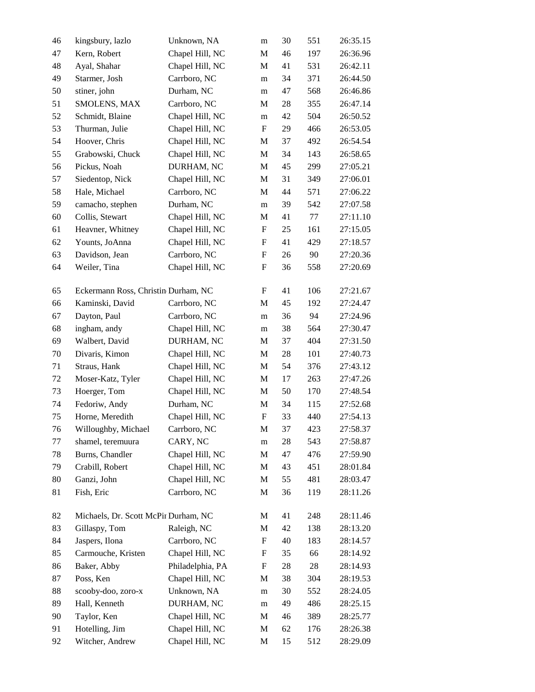| 46 | kingsbury, lazlo                     | Unknown, NA      | m                         | 30 | 551 | 26:35.15 |
|----|--------------------------------------|------------------|---------------------------|----|-----|----------|
| 47 | Kern, Robert                         | Chapel Hill, NC  | M                         | 46 | 197 | 26:36.96 |
| 48 | Ayal, Shahar                         | Chapel Hill, NC  | M                         | 41 | 531 | 26:42.11 |
| 49 | Starmer, Josh                        | Carrboro, NC     | m                         | 34 | 371 | 26:44.50 |
| 50 | stiner, john                         | Durham, NC       | m                         | 47 | 568 | 26:46.86 |
| 51 | SMOLENS, MAX                         | Carrboro, NC     | M                         | 28 | 355 | 26:47.14 |
| 52 | Schmidt, Blaine                      | Chapel Hill, NC  | m                         | 42 | 504 | 26:50.52 |
| 53 | Thurman, Julie                       | Chapel Hill, NC  | F                         | 29 | 466 | 26:53.05 |
| 54 | Hoover, Chris                        | Chapel Hill, NC  | M                         | 37 | 492 | 26:54.54 |
| 55 | Grabowski, Chuck                     | Chapel Hill, NC  | $\mathbf M$               | 34 | 143 | 26:58.65 |
| 56 | Pickus, Noah                         | DURHAM, NC       | M                         | 45 | 299 | 27:05.21 |
| 57 | Siedentop, Nick                      | Chapel Hill, NC  | M                         | 31 | 349 | 27:06.01 |
| 58 | Hale, Michael                        | Carrboro, NC     | M                         | 44 | 571 | 27:06.22 |
| 59 | camacho, stephen                     | Durham, NC       | m                         | 39 | 542 | 27:07.58 |
| 60 | Collis, Stewart                      | Chapel Hill, NC  | M                         | 41 | 77  | 27:11.10 |
| 61 | Heavner, Whitney                     | Chapel Hill, NC  | F                         | 25 | 161 | 27:15.05 |
| 62 | Younts, JoAnna                       | Chapel Hill, NC  | $\boldsymbol{\mathrm{F}}$ | 41 | 429 | 27:18.57 |
| 63 | Davidson, Jean                       | Carrboro, NC     | $\boldsymbol{\mathrm{F}}$ | 26 | 90  | 27:20.36 |
| 64 | Weiler, Tina                         | Chapel Hill, NC  | F                         | 36 | 558 | 27:20.69 |
| 65 | Eckermann Ross, Christin Durham, NC  |                  | F                         | 41 | 106 | 27:21.67 |
| 66 | Kaminski, David                      | Carrboro, NC     | $\mathbf M$               | 45 | 192 | 27:24.47 |
| 67 | Dayton, Paul                         | Carrboro, NC     | m                         | 36 | 94  | 27:24.96 |
| 68 | ingham, andy                         | Chapel Hill, NC  | m                         | 38 | 564 | 27:30.47 |
| 69 | Walbert, David                       | DURHAM, NC       | M                         | 37 | 404 | 27:31.50 |
| 70 | Divaris, Kimon                       | Chapel Hill, NC  | M                         | 28 | 101 | 27:40.73 |
| 71 | Straus, Hank                         | Chapel Hill, NC  | M                         | 54 | 376 | 27:43.12 |
| 72 | Moser-Katz, Tyler                    | Chapel Hill, NC  | M                         | 17 | 263 | 27:47.26 |
| 73 | Hoerger, Tom                         | Chapel Hill, NC  | M                         | 50 | 170 | 27:48.54 |
| 74 | Fedoriw, Andy                        | Durham, NC       | M                         | 34 | 115 | 27:52.68 |
| 75 | Horne, Meredith                      | Chapel Hill, NC  | $\boldsymbol{\mathrm{F}}$ | 33 | 440 | 27:54.13 |
| 76 | Willoughby, Michael                  | Carrboro, NC     | $\mathbf M$               | 37 | 423 | 27:58.37 |
| 77 | shamel, teremuura                    | CARY, NC         | m                         | 28 | 543 | 27:58.87 |
| 78 | Burns, Chandler                      | Chapel Hill, NC  | M                         | 47 | 476 | 27:59.90 |
| 79 | Crabill, Robert                      | Chapel Hill, NC  | M                         | 43 | 451 | 28:01.84 |
| 80 | Ganzi, John                          | Chapel Hill, NC  | M                         | 55 | 481 | 28:03.47 |
| 81 | Fish, Eric                           | Carrboro, NC     | M                         | 36 | 119 | 28:11.26 |
| 82 | Michaels, Dr. Scott McPir Durham, NC |                  | M                         | 41 | 248 | 28:11.46 |
| 83 | Gillaspy, Tom                        | Raleigh, NC      | M                         | 42 | 138 | 28:13.20 |
| 84 | Jaspers, Ilona                       | Carrboro, NC     | F                         | 40 | 183 | 28:14.57 |
| 85 | Carmouche, Kristen                   | Chapel Hill, NC  | F                         | 35 | 66  | 28:14.92 |
| 86 | Baker, Abby                          | Philadelphia, PA | F                         | 28 | 28  | 28:14.93 |
| 87 | Poss, Ken                            | Chapel Hill, NC  | $\mathbf M$               | 38 | 304 | 28:19.53 |
| 88 | scooby-doo, zoro-x                   | Unknown, NA      | m                         | 30 | 552 | 28:24.05 |
| 89 | Hall, Kenneth                        | DURHAM, NC       | m                         | 49 | 486 | 28:25.15 |
| 90 | Taylor, Ken                          | Chapel Hill, NC  | M                         | 46 | 389 | 28:25.77 |
| 91 | Hotelling, Jim                       | Chapel Hill, NC  | M                         | 62 | 176 | 28:26.38 |
| 92 | Witcher, Andrew                      | Chapel Hill, NC  | $\mathbf M$               | 15 | 512 | 28:29.09 |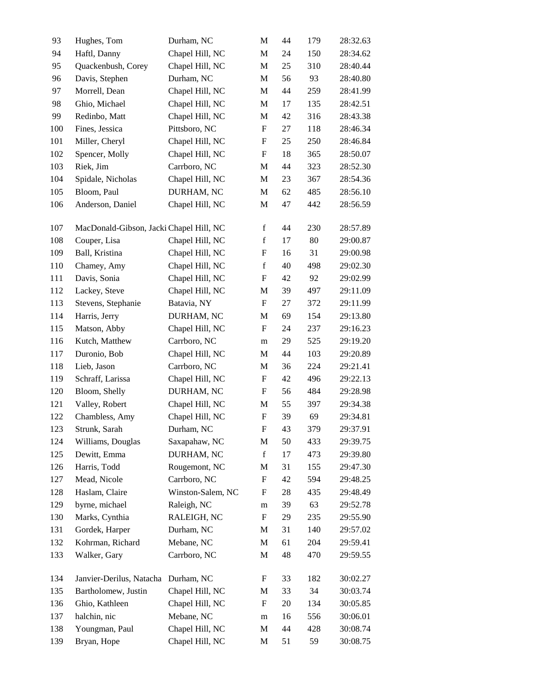| 93  | Hughes, Tom                             | Durham, NC        | M                         | 44 | 179 | 28:32.63 |
|-----|-----------------------------------------|-------------------|---------------------------|----|-----|----------|
| 94  | Haftl, Danny                            | Chapel Hill, NC   | $\mathbf M$               | 24 | 150 | 28:34.62 |
| 95  | Quackenbush, Corey                      | Chapel Hill, NC   | $\mathbf M$               | 25 | 310 | 28:40.44 |
| 96  | Davis, Stephen                          | Durham, NC        | $\mathbf M$               | 56 | 93  | 28:40.80 |
| 97  | Morrell, Dean                           | Chapel Hill, NC   | $\mathbf M$               | 44 | 259 | 28:41.99 |
| 98  | Ghio, Michael                           | Chapel Hill, NC   | M                         | 17 | 135 | 28:42.51 |
| 99  | Redinbo, Matt                           | Chapel Hill, NC   | M                         | 42 | 316 | 28:43.38 |
| 100 | Fines, Jessica                          | Pittsboro, NC     | $\boldsymbol{\mathrm{F}}$ | 27 | 118 | 28:46.34 |
| 101 | Miller, Cheryl                          | Chapel Hill, NC   | F                         | 25 | 250 | 28:46.84 |
| 102 | Spencer, Molly                          | Chapel Hill, NC   | $\boldsymbol{\mathrm{F}}$ | 18 | 365 | 28:50.07 |
| 103 | Riek, Jim                               | Carrboro, NC      | $\mathbf M$               | 44 | 323 | 28:52.30 |
| 104 | Spidale, Nicholas                       | Chapel Hill, NC   | $\mathbf M$               | 23 | 367 | 28:54.36 |
| 105 | Bloom, Paul                             | DURHAM, NC        | $\mathbf M$               | 62 | 485 | 28:56.10 |
| 106 | Anderson, Daniel                        | Chapel Hill, NC   | M                         | 47 | 442 | 28:56.59 |
| 107 | MacDonald-Gibson, Jacki Chapel Hill, NC |                   | $\mathbf f$               | 44 | 230 | 28:57.89 |
| 108 | Couper, Lisa                            | Chapel Hill, NC   | $\mathbf f$               | 17 | 80  | 29:00.87 |
| 109 | Ball, Kristina                          | Chapel Hill, NC   | F                         | 16 | 31  | 29:00.98 |
| 110 | Chamey, Amy                             | Chapel Hill, NC   | $\mathbf f$               | 40 | 498 | 29:02.30 |
| 111 | Davis, Sonia                            | Chapel Hill, NC   | $\boldsymbol{\mathrm{F}}$ | 42 | 92  | 29:02.99 |
| 112 | Lackey, Steve                           | Chapel Hill, NC   | M                         | 39 | 497 | 29:11.09 |
| 113 | Stevens, Stephanie                      | Batavia, NY       | $\boldsymbol{\mathrm{F}}$ | 27 | 372 | 29:11.99 |
| 114 | Harris, Jerry                           | DURHAM, NC        | $\mathbf M$               | 69 | 154 | 29:13.80 |
| 115 | Matson, Abby                            | Chapel Hill, NC   | $\boldsymbol{\mathrm{F}}$ | 24 | 237 | 29:16.23 |
| 116 | Kutch, Matthew                          | Carrboro, NC      | m                         | 29 | 525 | 29:19.20 |
| 117 | Duronio, Bob                            | Chapel Hill, NC   | $\mathbf M$               | 44 | 103 | 29:20.89 |
| 118 | Lieb, Jason                             | Carrboro, NC      | $\mathbf M$               | 36 | 224 | 29:21.41 |
| 119 | Schraff, Larissa                        | Chapel Hill, NC   | F                         | 42 | 496 | 29:22.13 |
| 120 | Bloom, Shelly                           | DURHAM, NC        | $\boldsymbol{\mathrm{F}}$ | 56 | 484 | 29:28.98 |
| 121 | Valley, Robert                          | Chapel Hill, NC   | $\mathbf M$               | 55 | 397 | 29:34.38 |
| 122 | Chambless, Amy                          | Chapel Hill, NC   | $\boldsymbol{\mathrm{F}}$ | 39 | 69  | 29:34.81 |
| 123 | Strunk, Sarah                           | Durham, NC        | $\mathbf F$               | 43 | 379 | 29:37.91 |
| 124 | Williams, Douglas                       | Saxapahaw, NC     | $\mathbf M$               | 50 | 433 | 29:39.75 |
| 125 | Dewitt, Emma                            | DURHAM, NC        | $\mathbf f$               | 17 | 473 | 29:39.80 |
| 126 | Harris, Todd                            | Rougemont, NC     | M                         | 31 | 155 | 29:47.30 |
| 127 | Mead, Nicole                            | Carrboro, NC      | $\boldsymbol{\mathrm{F}}$ | 42 | 594 | 29:48.25 |
| 128 | Haslam, Claire                          | Winston-Salem, NC | F                         | 28 | 435 | 29:48.49 |
| 129 | byrne, michael                          | Raleigh, NC       | m                         | 39 | 63  | 29:52.78 |
| 130 | Marks, Cynthia                          | RALEIGH, NC       | $\boldsymbol{\mathrm{F}}$ | 29 | 235 | 29:55.90 |
| 131 | Gordek, Harper                          | Durham, NC        | M                         | 31 | 140 | 29:57.02 |
| 132 | Kohrman, Richard                        | Mebane, NC        | $\mathbf M$               | 61 | 204 | 29:59.41 |
| 133 | Walker, Gary                            | Carrboro, NC      | M                         | 48 | 470 | 29:59.55 |
| 134 | Janvier-Derilus, Natacha                | Durham, NC        | F                         | 33 | 182 | 30:02.27 |
| 135 | Bartholomew, Justin                     | Chapel Hill, NC   | M                         | 33 | 34  | 30:03.74 |
| 136 | Ghio, Kathleen                          | Chapel Hill, NC   | F                         | 20 | 134 | 30:05.85 |
| 137 | halchin, nic                            | Mebane, NC        | m                         | 16 | 556 | 30:06.01 |
| 138 | Youngman, Paul                          | Chapel Hill, NC   | M                         | 44 | 428 | 30:08.74 |
| 139 | Bryan, Hope                             | Chapel Hill, NC   | $\mathbf M$               | 51 | 59  | 30:08.75 |
|     |                                         |                   |                           |    |     |          |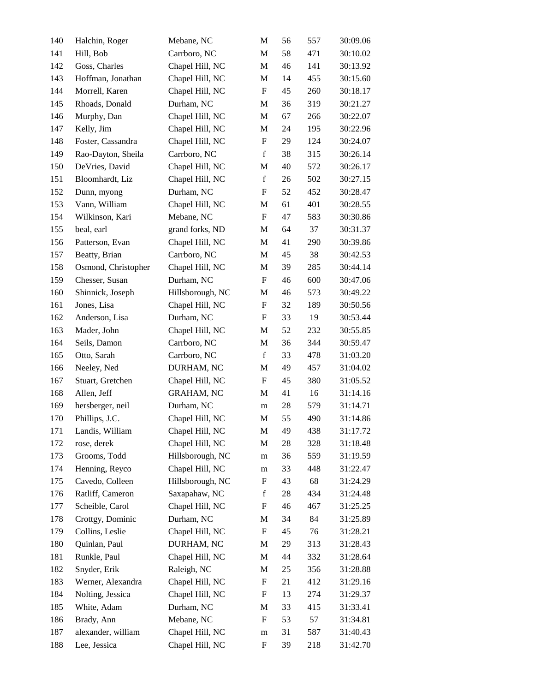| 140 | Halchin, Roger      | Mebane, NC        | M                         | 56 | 557 | 30:09.06 |
|-----|---------------------|-------------------|---------------------------|----|-----|----------|
| 141 | Hill, Bob           | Carrboro, NC      | M                         | 58 | 471 | 30:10.02 |
| 142 | Goss, Charles       | Chapel Hill, NC   | M                         | 46 | 141 | 30:13.92 |
| 143 | Hoffman, Jonathan   | Chapel Hill, NC   | M                         | 14 | 455 | 30:15.60 |
| 144 | Morrell, Karen      | Chapel Hill, NC   | $\boldsymbol{\mathrm{F}}$ | 45 | 260 | 30:18.17 |
| 145 | Rhoads, Donald      | Durham, NC        | M                         | 36 | 319 | 30:21.27 |
| 146 | Murphy, Dan         | Chapel Hill, NC   | M                         | 67 | 266 | 30:22.07 |
| 147 | Kelly, Jim          | Chapel Hill, NC   | M                         | 24 | 195 | 30:22.96 |
| 148 | Foster, Cassandra   | Chapel Hill, NC   | F                         | 29 | 124 | 30:24.07 |
| 149 | Rao-Dayton, Sheila  | Carrboro, NC      | $\mathbf f$               | 38 | 315 | 30:26.14 |
| 150 | DeVries, David      | Chapel Hill, NC   | M                         | 40 | 572 | 30:26.17 |
| 151 | Bloomhardt, Liz     | Chapel Hill, NC   | $\mathbf f$               | 26 | 502 | 30:27.15 |
| 152 | Dunn, myong         | Durham, NC        | $\boldsymbol{\mathrm{F}}$ | 52 | 452 | 30:28.47 |
| 153 | Vann, William       | Chapel Hill, NC   | M                         | 61 | 401 | 30:28.55 |
| 154 | Wilkinson, Kari     | Mebane, NC        | $\boldsymbol{\mathrm{F}}$ | 47 | 583 | 30:30.86 |
| 155 | beal, earl          | grand forks, ND   | M                         | 64 | 37  | 30:31.37 |
| 156 | Patterson, Evan     | Chapel Hill, NC   | M                         | 41 | 290 | 30:39.86 |
| 157 | Beatty, Brian       | Carrboro, NC      | M                         | 45 | 38  | 30:42.53 |
| 158 | Osmond, Christopher | Chapel Hill, NC   | M                         | 39 | 285 | 30:44.14 |
| 159 | Chesser, Susan      | Durham, NC        | $\boldsymbol{\mathrm{F}}$ | 46 | 600 | 30:47.06 |
| 160 | Shinnick, Joseph    | Hillsborough, NC  | M                         | 46 | 573 | 30:49.22 |
| 161 | Jones, Lisa         | Chapel Hill, NC   | $\boldsymbol{\mathrm{F}}$ | 32 | 189 | 30:50.56 |
| 162 | Anderson, Lisa      | Durham, NC        | $\boldsymbol{\mathrm{F}}$ | 33 | 19  | 30:53.44 |
| 163 | Mader, John         | Chapel Hill, NC   | M                         | 52 | 232 | 30:55.85 |
| 164 | Seils, Damon        | Carrboro, NC      | M                         | 36 | 344 | 30:59.47 |
| 165 | Otto, Sarah         | Carrboro, NC      | $\mathbf f$               | 33 | 478 | 31:03.20 |
| 166 | Neeley, Ned         | DURHAM, NC        | M                         | 49 | 457 | 31:04.02 |
| 167 | Stuart, Gretchen    | Chapel Hill, NC   | $\boldsymbol{\mathrm{F}}$ | 45 | 380 | 31:05.52 |
| 168 | Allen, Jeff         | <b>GRAHAM, NC</b> | M                         | 41 | 16  | 31:14.16 |
| 169 | hersberger, neil    | Durham, NC        | m                         | 28 | 579 | 31:14.71 |
| 170 | Phillips, J.C.      | Chapel Hill, NC   | M                         | 55 | 490 | 31:14.86 |
| 171 | Landis, William     | Chapel Hill, NC   | M                         | 49 | 438 | 31:17.72 |
| 172 | rose, derek         | Chapel Hill, NC   | M                         | 28 | 328 | 31:18.48 |
| 173 | Grooms, Todd        | Hillsborough, NC  | ${\rm m}$                 | 36 | 559 | 31:19.59 |
| 174 | Henning, Reyco      | Chapel Hill, NC   | m                         | 33 | 448 | 31:22.47 |
| 175 | Cavedo, Colleen     | Hillsborough, NC  | F                         | 43 | 68  | 31:24.29 |
| 176 | Ratliff, Cameron    | Saxapahaw, NC     | $\mathbf f$               | 28 | 434 | 31:24.48 |
| 177 | Scheible, Carol     | Chapel Hill, NC   | F                         | 46 | 467 | 31:25.25 |
| 178 | Crottgy, Dominic    | Durham, NC        | M                         | 34 | 84  | 31:25.89 |
| 179 | Collins, Leslie     | Chapel Hill, NC   | $\boldsymbol{\mathrm{F}}$ | 45 | 76  | 31:28.21 |
| 180 | Quinlan, Paul       | DURHAM, NC        | M                         | 29 | 313 | 31:28.43 |
| 181 | Runkle, Paul        | Chapel Hill, NC   | M                         | 44 | 332 | 31:28.64 |
| 182 | Snyder, Erik        | Raleigh, NC       | M                         | 25 | 356 | 31:28.88 |
| 183 | Werner, Alexandra   | Chapel Hill, NC   | F                         | 21 | 412 | 31:29.16 |
| 184 | Nolting, Jessica    | Chapel Hill, NC   | F                         | 13 | 274 | 31:29.37 |
| 185 | White, Adam         | Durham, NC        | M                         | 33 | 415 | 31:33.41 |
| 186 | Brady, Ann          | Mebane, NC        | F                         | 53 | 57  | 31:34.81 |
| 187 | alexander, william  | Chapel Hill, NC   | ${\rm m}$                 | 31 | 587 | 31:40.43 |
| 188 | Lee, Jessica        | Chapel Hill, NC   | F                         | 39 | 218 | 31:42.70 |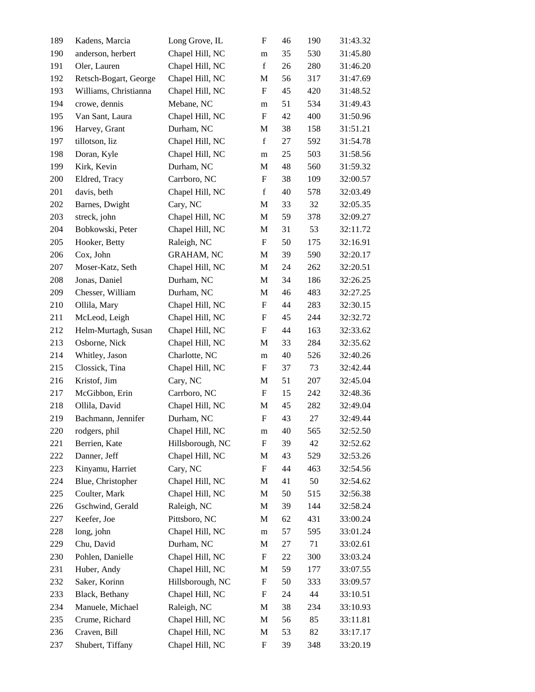| 189 | Kadens, Marcia        | Long Grove, IL    | F                         | 46 | 190 | 31:43.32 |
|-----|-----------------------|-------------------|---------------------------|----|-----|----------|
| 190 | anderson, herbert     | Chapel Hill, NC   | m                         | 35 | 530 | 31:45.80 |
| 191 | Oler, Lauren          | Chapel Hill, NC   | $\mathbf f$               | 26 | 280 | 31:46.20 |
| 192 | Retsch-Bogart, George | Chapel Hill, NC   | M                         | 56 | 317 | 31:47.69 |
| 193 | Williams, Christianna | Chapel Hill, NC   | F                         | 45 | 420 | 31:48.52 |
| 194 | crowe, dennis         | Mebane, NC        | m                         | 51 | 534 | 31:49.43 |
| 195 | Van Sant, Laura       | Chapel Hill, NC   | F                         | 42 | 400 | 31:50.96 |
| 196 | Harvey, Grant         | Durham, NC        | M                         | 38 | 158 | 31:51.21 |
| 197 | tillotson, liz        | Chapel Hill, NC   | $\mathbf f$               | 27 | 592 | 31:54.78 |
| 198 | Doran, Kyle           | Chapel Hill, NC   | m                         | 25 | 503 | 31:58.56 |
| 199 | Kirk, Kevin           | Durham, NC        | M                         | 48 | 560 | 31:59.32 |
| 200 | Eldred, Tracy         | Carrboro, NC      | F                         | 38 | 109 | 32:00.57 |
| 201 | davis, beth           | Chapel Hill, NC   | $\mathbf f$               | 40 | 578 | 32:03.49 |
| 202 | Barnes, Dwight        | Cary, NC          | M                         | 33 | 32  | 32:05.35 |
| 203 | streck, john          | Chapel Hill, NC   | M                         | 59 | 378 | 32:09.27 |
| 204 | Bobkowski, Peter      | Chapel Hill, NC   | M                         | 31 | 53  | 32:11.72 |
| 205 | Hooker, Betty         | Raleigh, NC       | F                         | 50 | 175 | 32:16.91 |
| 206 | Cox, John             | <b>GRAHAM, NC</b> | M                         | 39 | 590 | 32:20.17 |
| 207 | Moser-Katz, Seth      | Chapel Hill, NC   | M                         | 24 | 262 | 32:20.51 |
| 208 | Jonas, Daniel         | Durham, NC        | M                         | 34 | 186 | 32:26.25 |
| 209 | Chesser, William      | Durham, NC        | M                         | 46 | 483 | 32:27.25 |
| 210 | Ollila, Mary          | Chapel Hill, NC   | F                         | 44 | 283 | 32:30.15 |
| 211 | McLeod, Leigh         | Chapel Hill, NC   | F                         | 45 | 244 | 32:32.72 |
| 212 | Helm-Murtagh, Susan   | Chapel Hill, NC   | F                         | 44 | 163 | 32:33.62 |
| 213 | Osborne, Nick         | Chapel Hill, NC   | M                         | 33 | 284 | 32:35.62 |
| 214 | Whitley, Jason        | Charlotte, NC     | m                         | 40 | 526 | 32:40.26 |
| 215 | Clossick, Tina        | Chapel Hill, NC   | F                         | 37 | 73  | 32:42.44 |
| 216 | Kristof, Jim          | Cary, NC          | M                         | 51 | 207 | 32:45.04 |
| 217 | McGibbon, Erin        | Carrboro, NC      | $\boldsymbol{\mathrm{F}}$ | 15 | 242 | 32:48.36 |
| 218 | Ollila, David         | Chapel Hill, NC   | M                         | 45 | 282 | 32:49.04 |
| 219 | Bachmann, Jennifer    | Durham, NC        | $\boldsymbol{\mathrm{F}}$ | 43 | 27  | 32:49.44 |
| 220 | rodgers, phil         | Chapel Hill, NC   | m                         | 40 | 565 | 32:52.50 |
| 221 | Berrien, Kate         | Hillsborough, NC  | F                         | 39 | 42  | 32:52.62 |
| 222 | Danner, Jeff          | Chapel Hill, NC   | M                         | 43 | 529 | 32:53.26 |
| 223 | Kinyamu, Harriet      | Cary, NC          | F                         | 44 | 463 | 32:54.56 |
| 224 | Blue, Christopher     | Chapel Hill, NC   | M                         | 41 | 50  | 32:54.62 |
| 225 | Coulter, Mark         | Chapel Hill, NC   | M                         | 50 | 515 | 32:56.38 |
| 226 | Gschwind, Gerald      | Raleigh, NC       | M                         | 39 | 144 | 32:58.24 |
| 227 | Keefer, Joe           | Pittsboro, NC     | M                         | 62 | 431 | 33:00.24 |
| 228 | long, john            | Chapel Hill, NC   | m                         | 57 | 595 | 33:01.24 |
| 229 | Chu, David            | Durham, NC        | M                         | 27 | 71  | 33:02.61 |
| 230 | Pohlen, Danielle      | Chapel Hill, NC   | F                         | 22 | 300 | 33:03.24 |
| 231 | Huber, Andy           | Chapel Hill, NC   | M                         | 59 | 177 | 33:07.55 |
| 232 | Saker, Korinn         | Hillsborough, NC  | $\boldsymbol{F}$          | 50 | 333 | 33:09.57 |
| 233 | Black, Bethany        | Chapel Hill, NC   | F                         | 24 | 44  | 33:10.51 |
| 234 | Manuele, Michael      | Raleigh, NC       | M                         | 38 | 234 | 33:10.93 |
| 235 | Crume, Richard        | Chapel Hill, NC   | M                         | 56 | 85  | 33:11.81 |
| 236 | Craven, Bill          | Chapel Hill, NC   | M                         | 53 | 82  | 33:17.17 |
| 237 | Shubert, Tiffany      | Chapel Hill, NC   | F                         | 39 | 348 | 33:20.19 |
|     |                       |                   |                           |    |     |          |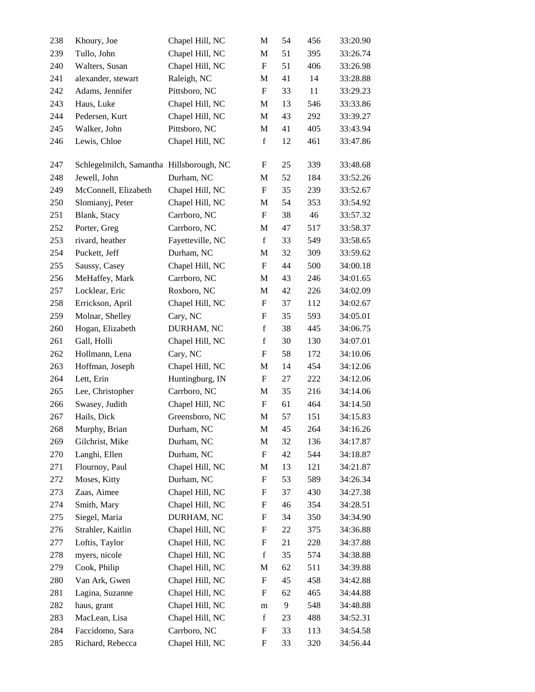| 238 | Khoury, Joe                              | Chapel Hill, NC  | M                         | 54 | 456 | 33:20.90 |
|-----|------------------------------------------|------------------|---------------------------|----|-----|----------|
| 239 | Tullo, John                              | Chapel Hill, NC  | M                         | 51 | 395 | 33:26.74 |
| 240 | Walters, Susan                           | Chapel Hill, NC  | $\boldsymbol{\mathrm{F}}$ | 51 | 406 | 33:26.98 |
| 241 | alexander, stewart                       | Raleigh, NC      | M                         | 41 | 14  | 33:28.88 |
| 242 | Adams, Jennifer                          | Pittsboro, NC    | $\boldsymbol{\mathrm{F}}$ | 33 | 11  | 33:29.23 |
| 243 | Haus, Luke                               | Chapel Hill, NC  | M                         | 13 | 546 | 33:33.86 |
| 244 | Pedersen, Kurt                           | Chapel Hill, NC  | M                         | 43 | 292 | 33:39.27 |
| 245 | Walker, John                             | Pittsboro, NC    | M                         | 41 | 405 | 33:43.94 |
| 246 | Lewis, Chloe                             | Chapel Hill, NC  | $\mathbf f$               | 12 | 461 | 33:47.86 |
| 247 | Schlegelmilch, Samantha Hillsborough, NC |                  | F                         | 25 | 339 | 33:48.68 |
| 248 | Jewell, John                             | Durham, NC       | M                         | 52 | 184 | 33:52.26 |
| 249 | McConnell, Elizabeth                     | Chapel Hill, NC  | F                         | 35 | 239 | 33:52.67 |
| 250 | Slomianyj, Peter                         | Chapel Hill, NC  | M                         | 54 | 353 | 33:54.92 |
| 251 | Blank, Stacy                             | Carrboro, NC     | F                         | 38 | 46  | 33:57.32 |
| 252 | Porter, Greg                             | Carrboro, NC     | M                         | 47 | 517 | 33:58.37 |
| 253 | rivard, heather                          | Fayetteville, NC | $\mathbf f$               | 33 | 549 | 33:58.65 |
| 254 | Puckett, Jeff                            | Durham, NC       | M                         | 32 | 309 | 33:59.62 |
| 255 | Saussy, Casey                            | Chapel Hill, NC  | $\boldsymbol{\mathrm{F}}$ | 44 | 500 | 34:00.18 |
| 256 | MeHaffey, Mark                           | Carrboro, NC     | M                         | 43 | 246 | 34:01.65 |
| 257 | Locklear, Eric                           | Roxboro, NC      | M                         | 42 | 226 | 34:02.09 |
| 258 | Errickson, April                         | Chapel Hill, NC  | F                         | 37 | 112 | 34:02.67 |
| 259 | Molnar, Shelley                          | Cary, NC         | F                         | 35 | 593 | 34:05.01 |
| 260 | Hogan, Elizabeth                         | DURHAM, NC       | $\mathbf f$               | 38 | 445 | 34:06.75 |
| 261 | Gall, Holli                              | Chapel Hill, NC  | $\mathbf f$               | 30 | 130 | 34:07.01 |
| 262 | Hollmann, Lena                           | Cary, NC         | F                         | 58 | 172 | 34:10.06 |
| 263 | Hoffman, Joseph                          | Chapel Hill, NC  | M                         | 14 | 454 | 34:12.06 |
| 264 | Lett, Erin                               | Huntingburg, IN  | F                         | 27 | 222 | 34:12.06 |
| 265 | Lee, Christopher                         | Carrboro, NC     | M                         | 35 | 216 | 34:14.06 |
| 266 | Swasey, Judith                           | Chapel Hill, NC  | F                         | 61 | 464 | 34:14.50 |
| 267 | Hails, Dick                              | Greensboro, NC   | M                         | 57 | 151 | 34:15.83 |
| 268 | Murphy, Brian                            | Durham, NC       | $\mathbf M$               | 45 | 264 | 34:16.26 |
| 269 | Gilchrist, Mike                          | Durham, NC       | M                         | 32 | 136 | 34:17.87 |
| 270 | Langhi, Ellen                            | Durham, NC       | $\boldsymbol{\mathrm{F}}$ | 42 | 544 | 34:18.87 |
| 271 | Flournoy, Paul                           | Chapel Hill, NC  | M                         | 13 | 121 | 34:21.87 |
| 272 | Moses, Kitty                             | Durham, NC       | F                         | 53 | 589 | 34:26.34 |
| 273 | Zaas, Aimee                              | Chapel Hill, NC  | F                         | 37 | 430 | 34:27.38 |
| 274 | Smith, Mary                              | Chapel Hill, NC  | F                         | 46 | 354 | 34:28.51 |
| 275 | Siegel, Maria                            | DURHAM, NC       | $\boldsymbol{\mathrm{F}}$ | 34 | 350 | 34:34.90 |
| 276 | Strahler, Kaitlin                        | Chapel Hill, NC  | F                         | 22 | 375 | 34:36.88 |
| 277 | Loftis, Taylor                           | Chapel Hill, NC  | F                         | 21 | 228 | 34:37.88 |
| 278 | myers, nicole                            | Chapel Hill, NC  | $\mathbf f$               | 35 | 574 | 34:38.88 |
| 279 | Cook, Philip                             | Chapel Hill, NC  | M                         | 62 | 511 | 34:39.88 |
| 280 | Van Ark, Gwen                            | Chapel Hill, NC  | $\boldsymbol{\mathrm{F}}$ | 45 | 458 | 34:42.88 |
| 281 | Lagina, Suzanne                          | Chapel Hill, NC  | F                         | 62 | 465 | 34:44.88 |
| 282 | haus, grant                              | Chapel Hill, NC  | m                         | 9  | 548 | 34:48.88 |
| 283 | MacLean, Lisa                            | Chapel Hill, NC  | $\mathbf f$               | 23 | 488 | 34:52.31 |
| 284 | Faccidomo, Sara                          | Carrboro, NC     | F                         | 33 | 113 | 34:54.58 |
| 285 | Richard, Rebecca                         | Chapel Hill, NC  | $\boldsymbol{\mathrm{F}}$ | 33 | 320 | 34:56.44 |
|     |                                          |                  |                           |    |     |          |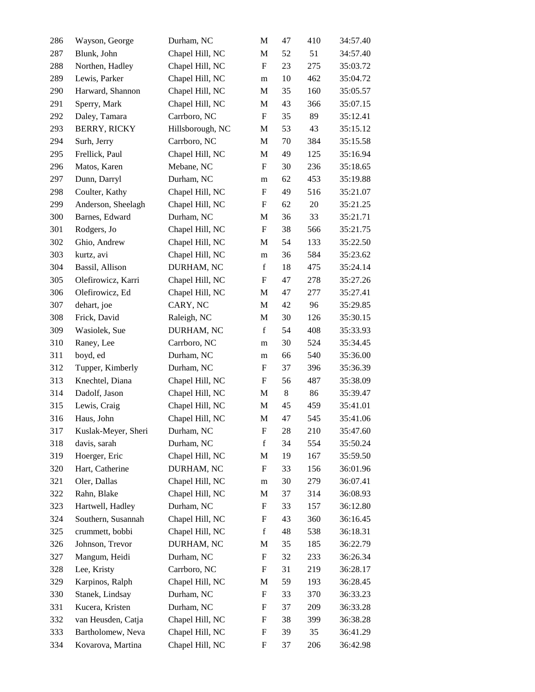| 286 | Wayson, George      | Durham, NC       | M                         | 47    | 410 | 34:57.40 |
|-----|---------------------|------------------|---------------------------|-------|-----|----------|
| 287 | Blunk, John         | Chapel Hill, NC  | M                         | 52    | 51  | 34:57.40 |
| 288 | Northen, Hadley     | Chapel Hill, NC  | $\boldsymbol{\mathrm{F}}$ | 23    | 275 | 35:03.72 |
| 289 | Lewis, Parker       | Chapel Hill, NC  | m                         | 10    | 462 | 35:04.72 |
| 290 | Harward, Shannon    | Chapel Hill, NC  | M                         | 35    | 160 | 35:05.57 |
| 291 | Sperry, Mark        | Chapel Hill, NC  | M                         | 43    | 366 | 35:07.15 |
| 292 | Daley, Tamara       | Carrboro, NC     | F                         | 35    | 89  | 35:12.41 |
| 293 | <b>BERRY, RICKY</b> | Hillsborough, NC | M                         | 53    | 43  | 35:15.12 |
| 294 | Surh, Jerry         | Carrboro, NC     | M                         | 70    | 384 | 35:15.58 |
| 295 | Frellick, Paul      | Chapel Hill, NC  | M                         | 49    | 125 | 35:16.94 |
| 296 | Matos, Karen        | Mebane, NC       | F                         | 30    | 236 | 35:18.65 |
| 297 | Dunn, Darryl        | Durham, NC       | m                         | 62    | 453 | 35:19.88 |
| 298 | Coulter, Kathy      | Chapel Hill, NC  | $\boldsymbol{\mathrm{F}}$ | 49    | 516 | 35:21.07 |
| 299 | Anderson, Sheelagh  | Chapel Hill, NC  | F                         | 62    | 20  | 35:21.25 |
| 300 | Barnes, Edward      | Durham, NC       | M                         | 36    | 33  | 35:21.71 |
| 301 | Rodgers, Jo         | Chapel Hill, NC  | $\boldsymbol{\mathrm{F}}$ | 38    | 566 | 35:21.75 |
| 302 | Ghio, Andrew        | Chapel Hill, NC  | M                         | 54    | 133 | 35:22.50 |
| 303 | kurtz, avi          | Chapel Hill, NC  | m                         | 36    | 584 | 35:23.62 |
| 304 | Bassil, Allison     | DURHAM, NC       | $\mathbf f$               | 18    | 475 | 35:24.14 |
| 305 | Olefirowicz, Karri  | Chapel Hill, NC  | F                         | 47    | 278 | 35:27.26 |
| 306 | Olefirowicz, Ed     | Chapel Hill, NC  | M                         | 47    | 277 | 35:27.41 |
| 307 | dehart, joe         | CARY, NC         | M                         | 42    | 96  | 35:29.85 |
| 308 | Frick, David        | Raleigh, NC      | $\mathbf M$               | 30    | 126 | 35:30.15 |
| 309 | Wasiolek, Sue       | DURHAM, NC       | $\mathbf f$               | 54    | 408 | 35:33.93 |
| 310 | Raney, Lee          | Carrboro, NC     | m                         | 30    | 524 | 35:34.45 |
| 311 | boyd, ed            | Durham, NC       | m                         | 66    | 540 | 35:36.00 |
| 312 | Tupper, Kimberly    | Durham, NC       | F                         | 37    | 396 | 35:36.39 |
| 313 | Knechtel, Diana     | Chapel Hill, NC  | $\boldsymbol{\mathrm{F}}$ | 56    | 487 | 35:38.09 |
| 314 | Dadolf, Jason       | Chapel Hill, NC  | M                         | $8\,$ | 86  | 35:39.47 |
| 315 | Lewis, Craig        | Chapel Hill, NC  | M                         | 45    | 459 | 35:41.01 |
| 316 | Haus, John          | Chapel Hill, NC  | M                         | 47    | 545 | 35:41.06 |
| 317 | Kuslak-Meyer, Sheri | Durham, NC       | F                         | 28    | 210 | 35:47.60 |
| 318 | davis, sarah        | Durham, NC       | $\mathbf f$               | 34    | 554 | 35:50.24 |
| 319 | Hoerger, Eric       | Chapel Hill, NC  | M                         | 19    | 167 | 35:59.50 |
| 320 | Hart, Catherine     | DURHAM, NC       | F                         | 33    | 156 | 36:01.96 |
| 321 | Oler, Dallas        | Chapel Hill, NC  | m                         | 30    | 279 | 36:07.41 |
| 322 | Rahn, Blake         | Chapel Hill, NC  | M                         | 37    | 314 | 36:08.93 |
| 323 | Hartwell, Hadley    | Durham, NC       | F                         | 33    | 157 | 36:12.80 |
| 324 | Southern, Susannah  | Chapel Hill, NC  | F                         | 43    | 360 | 36:16.45 |
| 325 | crummett, bobbi     | Chapel Hill, NC  | $\mathbf f$               | 48    | 538 | 36:18.31 |
| 326 | Johnson, Trevor     | DURHAM, NC       | M                         | 35    | 185 | 36:22.79 |
| 327 | Mangum, Heidi       | Durham, NC       | F                         | 32    | 233 | 36:26.34 |
| 328 | Lee, Kristy         | Carrboro, NC     | F                         | 31    | 219 | 36:28.17 |
| 329 | Karpinos, Ralph     | Chapel Hill, NC  | M                         | 59    | 193 | 36:28.45 |
| 330 | Stanek, Lindsay     | Durham, NC       | F                         | 33    | 370 | 36:33.23 |
| 331 | Kucera, Kristen     | Durham, NC       | F                         | 37    | 209 | 36:33.28 |
| 332 | van Heusden, Catja  | Chapel Hill, NC  | F                         | 38    | 399 | 36:38.28 |
| 333 | Bartholomew, Neva   | Chapel Hill, NC  | F                         | 39    | 35  | 36:41.29 |
| 334 | Kovarova, Martina   | Chapel Hill, NC  | F                         | 37    | 206 | 36:42.98 |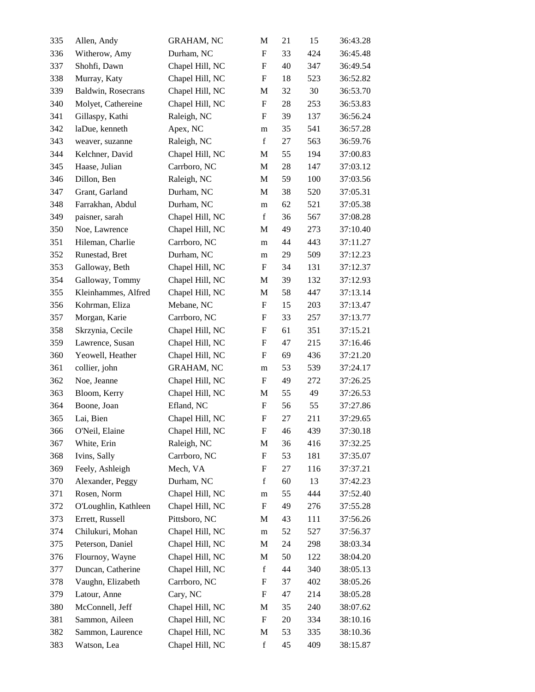| 335 | Allen, Andy          | <b>GRAHAM, NC</b> | M                         | 21 | 15  | 36:43.28 |
|-----|----------------------|-------------------|---------------------------|----|-----|----------|
| 336 | Witherow, Amy        | Durham, NC        | $\mathbf F$               | 33 | 424 | 36:45.48 |
| 337 | Shohfi, Dawn         | Chapel Hill, NC   | $\boldsymbol{\mathrm{F}}$ | 40 | 347 | 36:49.54 |
| 338 | Murray, Katy         | Chapel Hill, NC   | $\boldsymbol{\mathrm{F}}$ | 18 | 523 | 36:52.82 |
| 339 | Baldwin, Rosecrans   | Chapel Hill, NC   | M                         | 32 | 30  | 36:53.70 |
| 340 | Molyet, Cathereine   | Chapel Hill, NC   | $\boldsymbol{\mathrm{F}}$ | 28 | 253 | 36:53.83 |
| 341 | Gillaspy, Kathi      | Raleigh, NC       | F                         | 39 | 137 | 36:56.24 |
| 342 | laDue, kenneth       | Apex, NC          | m                         | 35 | 541 | 36:57.28 |
| 343 | weaver, suzanne      | Raleigh, NC       | $\mathbf f$               | 27 | 563 | 36:59.76 |
| 344 | Kelchner, David      | Chapel Hill, NC   | M                         | 55 | 194 | 37:00.83 |
| 345 | Haase, Julian        | Carrboro, NC      | $\mathbf M$               | 28 | 147 | 37:03.12 |
| 346 | Dillon, Ben          | Raleigh, NC       | M                         | 59 | 100 | 37:03.56 |
| 347 | Grant, Garland       | Durham, NC        | M                         | 38 | 520 | 37:05.31 |
| 348 | Farrakhan, Abdul     | Durham, NC        | m                         | 62 | 521 | 37:05.38 |
| 349 | paisner, sarah       | Chapel Hill, NC   | $\mathbf f$               | 36 | 567 | 37:08.28 |
| 350 | Noe, Lawrence        | Chapel Hill, NC   | M                         | 49 | 273 | 37:10.40 |
| 351 | Hileman, Charlie     | Carrboro, NC      | m                         | 44 | 443 | 37:11.27 |
| 352 | Runestad, Bret       | Durham, NC        | m                         | 29 | 509 | 37:12.23 |
| 353 | Galloway, Beth       | Chapel Hill, NC   | F                         | 34 | 131 | 37:12.37 |
| 354 | Galloway, Tommy      | Chapel Hill, NC   | M                         | 39 | 132 | 37:12.93 |
| 355 | Kleinhammes, Alfred  | Chapel Hill, NC   | M                         | 58 | 447 | 37:13.14 |
| 356 | Kohrman, Eliza       | Mebane, NC        | F                         | 15 | 203 | 37:13.47 |
| 357 | Morgan, Karie        | Carrboro, NC      | F                         | 33 | 257 | 37:13.77 |
| 358 | Skrzynia, Cecile     | Chapel Hill, NC   | $\boldsymbol{\mathrm{F}}$ | 61 | 351 | 37:15.21 |
| 359 | Lawrence, Susan      | Chapel Hill, NC   | $\boldsymbol{\mathrm{F}}$ | 47 | 215 | 37:16.46 |
| 360 | Yeowell, Heather     | Chapel Hill, NC   | $\boldsymbol{\mathrm{F}}$ | 69 | 436 | 37:21.20 |
| 361 | collier, john        | <b>GRAHAM, NC</b> | m                         | 53 | 539 | 37:24.17 |
| 362 | Noe, Jeanne          | Chapel Hill, NC   | F                         | 49 | 272 | 37:26.25 |
| 363 | Bloom, Kerry         | Chapel Hill, NC   | M                         | 55 | 49  | 37:26.53 |
| 364 | Boone, Joan          | Efland, NC        | $\boldsymbol{\mathrm{F}}$ | 56 | 55  | 37:27.86 |
| 365 | Lai, Bien            | Chapel Hill, NC   | $\boldsymbol{\mathrm{F}}$ | 27 | 211 | 37:29.65 |
| 366 | O'Neil, Elaine       | Chapel Hill, NC   | F                         | 46 | 439 | 37:30.18 |
| 367 | White, Erin          | Raleigh, NC       | M                         | 36 | 416 | 37:32.25 |
| 368 | Ivins, Sally         | Carrboro, NC      | F                         | 53 | 181 | 37:35.07 |
| 369 | Feely, Ashleigh      | Mech, VA          | F                         | 27 | 116 | 37:37.21 |
| 370 | Alexander, Peggy     | Durham, NC        | $\mathbf f$               | 60 | 13  | 37:42.23 |
| 371 | Rosen, Norm          | Chapel Hill, NC   | m                         | 55 | 444 | 37:52.40 |
| 372 | O'Loughlin, Kathleen | Chapel Hill, NC   | $\boldsymbol{\mathrm{F}}$ | 49 | 276 | 37:55.28 |
| 373 | Errett, Russell      | Pittsboro, NC     | M                         | 43 | 111 | 37:56.26 |
| 374 | Chilukuri, Mohan     | Chapel Hill, NC   | m                         | 52 | 527 | 37:56.37 |
| 375 | Peterson, Daniel     | Chapel Hill, NC   | M                         | 24 | 298 | 38:03.34 |
| 376 | Flournoy, Wayne      | Chapel Hill, NC   | M                         | 50 | 122 | 38:04.20 |
| 377 | Duncan, Catherine    | Chapel Hill, NC   | $\mathbf f$               | 44 | 340 | 38:05.13 |
| 378 | Vaughn, Elizabeth    | Carrboro, NC      | F                         | 37 | 402 | 38:05.26 |
| 379 | Latour, Anne         | Cary, NC          | F                         | 47 | 214 | 38:05.28 |
| 380 | McConnell, Jeff      | Chapel Hill, NC   | M                         | 35 | 240 | 38:07.62 |
| 381 | Sammon, Aileen       | Chapel Hill, NC   | F                         | 20 | 334 | 38:10.16 |
| 382 | Sammon, Laurence     | Chapel Hill, NC   | M                         | 53 | 335 | 38:10.36 |
| 383 | Watson, Lea          | Chapel Hill, NC   | $\mathbf f$               | 45 | 409 | 38:15.87 |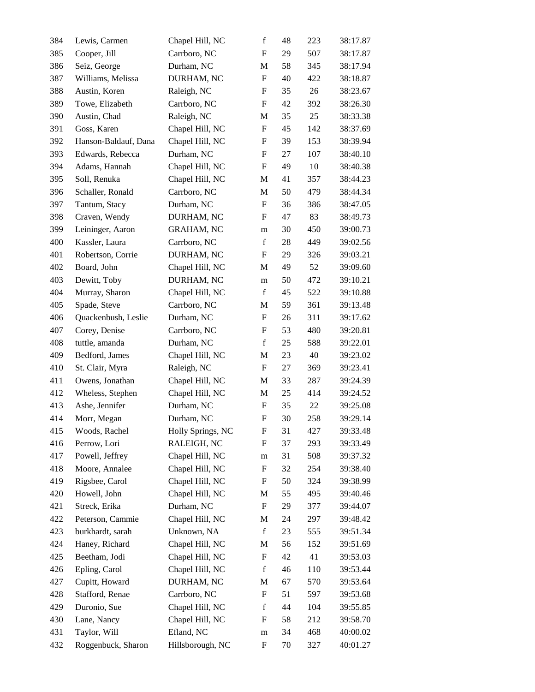| 384 | Lewis, Carmen        | Chapel Hill, NC   | $\mathbf f$               | 48 | 223 | 38:17.87 |
|-----|----------------------|-------------------|---------------------------|----|-----|----------|
| 385 | Cooper, Jill         | Carrboro, NC      | $\mathbf F$               | 29 | 507 | 38:17.87 |
| 386 | Seiz, George         | Durham, NC        | M                         | 58 | 345 | 38:17.94 |
| 387 | Williams, Melissa    | DURHAM, NC        | $\boldsymbol{\mathrm{F}}$ | 40 | 422 | 38:18.87 |
| 388 | Austin, Koren        | Raleigh, NC       | F                         | 35 | 26  | 38:23.67 |
| 389 | Towe, Elizabeth      | Carrboro, NC      | $\boldsymbol{\mathrm{F}}$ | 42 | 392 | 38:26.30 |
| 390 | Austin, Chad         | Raleigh, NC       | M                         | 35 | 25  | 38:33.38 |
| 391 | Goss, Karen          | Chapel Hill, NC   | $\boldsymbol{\mathrm{F}}$ | 45 | 142 | 38:37.69 |
| 392 | Hanson-Baldauf, Dana | Chapel Hill, NC   | F                         | 39 | 153 | 38:39.94 |
| 393 | Edwards, Rebecca     | Durham, NC        | F                         | 27 | 107 | 38:40.10 |
| 394 | Adams, Hannah        | Chapel Hill, NC   | $\boldsymbol{\mathrm{F}}$ | 49 | 10  | 38:40.38 |
| 395 | Soll, Renuka         | Chapel Hill, NC   | M                         | 41 | 357 | 38:44.23 |
| 396 | Schaller, Ronald     | Carrboro, NC      | M                         | 50 | 479 | 38:44.34 |
| 397 | Tantum, Stacy        | Durham, NC        | $\boldsymbol{\mathrm{F}}$ | 36 | 386 | 38:47.05 |
| 398 | Craven, Wendy        | DURHAM, NC        | F                         | 47 | 83  | 38:49.73 |
| 399 | Leininger, Aaron     | <b>GRAHAM, NC</b> | m                         | 30 | 450 | 39:00.73 |
| 400 | Kassler, Laura       | Carrboro, NC      | $\mathbf f$               | 28 | 449 | 39:02.56 |
| 401 | Robertson, Corrie    | DURHAM, NC        | F                         | 29 | 326 | 39:03.21 |
| 402 | Board, John          | Chapel Hill, NC   | M                         | 49 | 52  | 39:09.60 |
| 403 | Dewitt, Toby         | DURHAM, NC        | m                         | 50 | 472 | 39:10.21 |
| 404 | Murray, Sharon       | Chapel Hill, NC   | $\mathbf f$               | 45 | 522 | 39:10.88 |
| 405 | Spade, Steve         | Carrboro, NC      | M                         | 59 | 361 | 39:13.48 |
| 406 | Quackenbush, Leslie  | Durham, NC        | F                         | 26 | 311 | 39:17.62 |
| 407 | Corey, Denise        | Carrboro, NC      | F                         | 53 | 480 | 39:20.81 |
| 408 | tuttle, amanda       | Durham, NC        | $\mathbf f$               | 25 | 588 | 39:22.01 |
| 409 | Bedford, James       | Chapel Hill, NC   | M                         | 23 | 40  | 39:23.02 |
| 410 | St. Clair, Myra      | Raleigh, NC       | F                         | 27 | 369 | 39:23.41 |
| 411 | Owens, Jonathan      | Chapel Hill, NC   | M                         | 33 | 287 | 39:24.39 |
| 412 | Wheless, Stephen     | Chapel Hill, NC   | M                         | 25 | 414 | 39:24.52 |
| 413 | Ashe, Jennifer       | Durham, NC        | $\boldsymbol{F}$          | 35 | 22  | 39:25.08 |
| 414 | Morr, Megan          | Durham, NC        | F                         | 30 | 258 | 39:29.14 |
| 415 | Woods, Rachel        | Holly Springs, NC | F                         | 31 | 427 | 39:33.48 |
| 416 | Perrow, Lori         | RALEIGH, NC       | F                         | 37 | 293 | 39:33.49 |
| 417 | Powell, Jeffrey      | Chapel Hill, NC   | m                         | 31 | 508 | 39:37.32 |
| 418 | Moore, Annalee       | Chapel Hill, NC   | F                         | 32 | 254 | 39:38.40 |
| 419 | Rigsbee, Carol       | Chapel Hill, NC   | F                         | 50 | 324 | 39:38.99 |
| 420 | Howell, John         | Chapel Hill, NC   | $\mathbf M$               | 55 | 495 | 39:40.46 |
| 421 | Streck, Erika        | Durham, NC        | $\boldsymbol{\mathrm{F}}$ | 29 | 377 | 39:44.07 |
| 422 | Peterson, Cammie     | Chapel Hill, NC   | M                         | 24 | 297 | 39:48.42 |
| 423 | burkhardt, sarah     | Unknown, NA       | $\mathbf f$               | 23 | 555 | 39:51.34 |
| 424 | Haney, Richard       | Chapel Hill, NC   | M                         | 56 | 152 | 39:51.69 |
| 425 | Beetham, Jodi        | Chapel Hill, NC   | F                         | 42 | 41  | 39:53.03 |
| 426 | Epling, Carol        | Chapel Hill, NC   | $\mathbf f$               | 46 | 110 | 39:53.44 |
| 427 | Cupitt, Howard       | DURHAM, NC        | M                         | 67 | 570 | 39:53.64 |
| 428 | Stafford, Renae      | Carrboro, NC      | F                         | 51 | 597 | 39:53.68 |
| 429 | Duronio, Sue         | Chapel Hill, NC   | $\mathbf f$               | 44 | 104 | 39:55.85 |
| 430 | Lane, Nancy          | Chapel Hill, NC   | F                         | 58 | 212 | 39:58.70 |
| 431 | Taylor, Will         | Efland, NC        | m                         | 34 | 468 | 40:00.02 |
| 432 | Roggenbuck, Sharon   | Hillsborough, NC  | F                         | 70 | 327 | 40:01.27 |
|     |                      |                   |                           |    |     |          |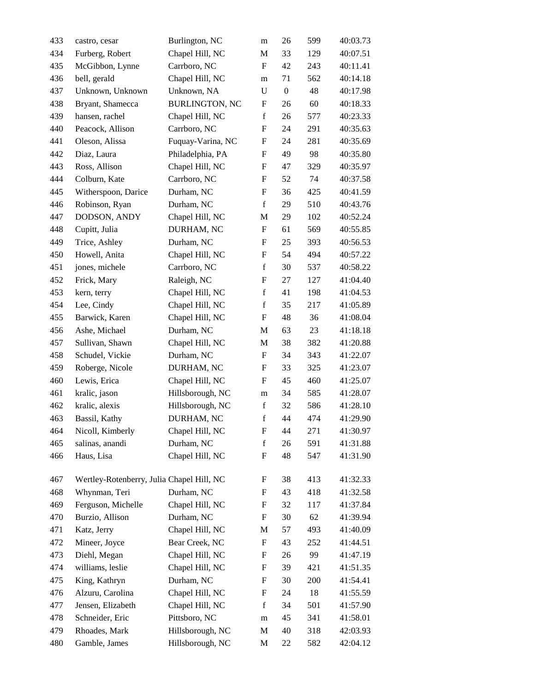| 433 | castro, cesar                             | Burlington, NC        | m                         | 26               | 599 | 40:03.73 |
|-----|-------------------------------------------|-----------------------|---------------------------|------------------|-----|----------|
| 434 | Furberg, Robert                           | Chapel Hill, NC       | M                         | 33               | 129 | 40:07.51 |
| 435 | McGibbon, Lynne                           | Carrboro, NC          | $\boldsymbol{\mathrm{F}}$ | 42               | 243 | 40:11.41 |
| 436 | bell, gerald                              | Chapel Hill, NC       | m                         | 71               | 562 | 40:14.18 |
| 437 | Unknown, Unknown                          | Unknown, NA           | ${\bf U}$                 | $\boldsymbol{0}$ | 48  | 40:17.98 |
| 438 | Bryant, Shamecca                          | <b>BURLINGTON, NC</b> | F                         | 26               | 60  | 40:18.33 |
| 439 | hansen, rachel                            | Chapel Hill, NC       | $\mathbf f$               | 26               | 577 | 40:23.33 |
| 440 | Peacock, Allison                          | Carrboro, NC          | F                         | 24               | 291 | 40:35.63 |
| 441 | Oleson, Alissa                            | Fuquay-Varina, NC     | F                         | 24               | 281 | 40:35.69 |
| 442 | Diaz, Laura                               | Philadelphia, PA      | F                         | 49               | 98  | 40:35.80 |
| 443 | Ross, Allison                             | Chapel Hill, NC       | F                         | 47               | 329 | 40:35.97 |
| 444 | Colburn, Kate                             | Carrboro, NC          | F                         | 52               | 74  | 40:37.58 |
| 445 | Witherspoon, Darice                       | Durham, NC            | $\boldsymbol{\mathrm{F}}$ | 36               | 425 | 40:41.59 |
| 446 | Robinson, Ryan                            | Durham, NC            | $\mathbf f$               | 29               | 510 | 40:43.76 |
| 447 | DODSON, ANDY                              | Chapel Hill, NC       | M                         | 29               | 102 | 40:52.24 |
| 448 | Cupitt, Julia                             | DURHAM, NC            | $\boldsymbol{\mathrm{F}}$ | 61               | 569 | 40:55.85 |
| 449 | Trice, Ashley                             | Durham, NC            | F                         | 25               | 393 | 40:56.53 |
| 450 | Howell, Anita                             | Chapel Hill, NC       | F                         | 54               | 494 | 40:57.22 |
| 451 | jones, michele                            | Carrboro, NC          | $\mathbf f$               | 30               | 537 | 40:58.22 |
| 452 | Frick, Mary                               | Raleigh, NC           | F                         | 27               | 127 | 41:04.40 |
| 453 | kern, terry                               | Chapel Hill, NC       | $\mathbf f$               | 41               | 198 | 41:04.53 |
| 454 | Lee, Cindy                                | Chapel Hill, NC       | $\mathbf f$               | 35               | 217 | 41:05.89 |
| 455 | Barwick, Karen                            | Chapel Hill, NC       | F                         | 48               | 36  | 41:08.04 |
| 456 | Ashe, Michael                             | Durham, NC            | M                         | 63               | 23  | 41:18.18 |
| 457 | Sullivan, Shawn                           | Chapel Hill, NC       | M                         | 38               | 382 | 41:20.88 |
| 458 | Schudel, Vickie                           | Durham, NC            | F                         | 34               | 343 | 41:22.07 |
| 459 | Roberge, Nicole                           | DURHAM, NC            | F                         | 33               | 325 | 41:23.07 |
| 460 | Lewis, Erica                              | Chapel Hill, NC       | F                         | 45               | 460 | 41:25.07 |
| 461 | kralic, jason                             | Hillsborough, NC      | m                         | 34               | 585 | 41:28.07 |
| 462 | kralic, alexis                            | Hillsborough, NC      | $\mathbf f$               | 32               | 586 | 41:28.10 |
| 463 | Bassil, Kathy                             | DURHAM, NC            | $\mathbf f$               | 44               | 474 | 41:29.90 |
| 464 | Nicoll, Kimberly                          | Chapel Hill, NC       | F                         | 44               | 271 | 41:30.97 |
| 465 | salinas, anandi                           | Durham, NC            | $\mathbf f$               | 26               | 591 | 41:31.88 |
| 466 | Haus, Lisa                                | Chapel Hill, NC       | F                         | 48               | 547 | 41:31.90 |
| 467 | Wertley-Rotenberry, Julia Chapel Hill, NC |                       | F                         | 38               | 413 | 41:32.33 |
| 468 | Whynman, Teri                             | Durham, NC            | F                         | 43               | 418 | 41:32.58 |
| 469 | Ferguson, Michelle                        | Chapel Hill, NC       | F                         | 32               | 117 | 41:37.84 |
| 470 | Burzio, Allison                           | Durham, NC            | $\boldsymbol{F}$          | 30               | 62  | 41:39.94 |
| 471 | Katz, Jerry                               | Chapel Hill, NC       | M                         | 57               | 493 | 41:40.09 |
| 472 | Mineer, Joyce                             | Bear Creek, NC        | F                         | 43               | 252 | 41:44.51 |
| 473 | Diehl, Megan                              | Chapel Hill, NC       | F                         | 26               | 99  | 41:47.19 |
| 474 | williams, leslie                          | Chapel Hill, NC       | F                         | 39               | 421 | 41:51.35 |
| 475 | King, Kathryn                             | Durham, NC            | F                         | 30               | 200 | 41:54.41 |
| 476 | Alzuru, Carolina                          | Chapel Hill, NC       | F                         | 24               | 18  | 41:55.59 |
| 477 | Jensen, Elizabeth                         | Chapel Hill, NC       | f                         | 34               | 501 | 41:57.90 |
| 478 | Schneider, Eric                           | Pittsboro, NC         | m                         | 45               | 341 | 41:58.01 |
| 479 | Rhoades, Mark                             | Hillsborough, NC      | M                         | 40               | 318 | 42:03.93 |
| 480 | Gamble, James                             | Hillsborough, NC      | M                         | 22               | 582 | 42:04.12 |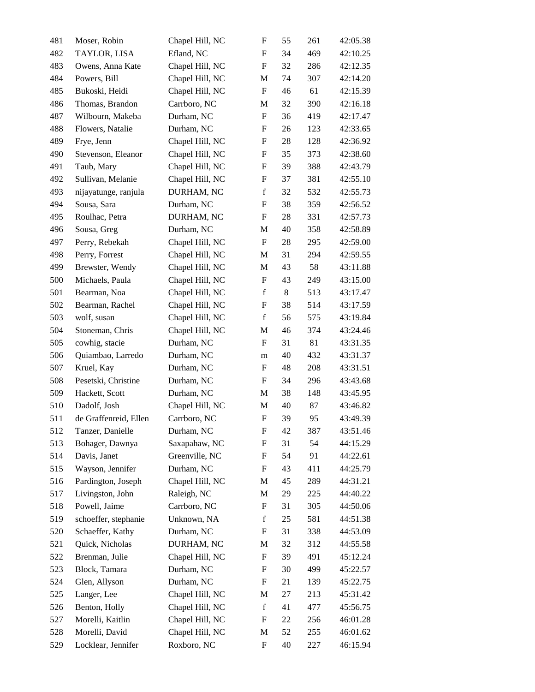| 481 | Moser, Robin          | Chapel Hill, NC | F                         | 55      | 261 | 42:05.38 |
|-----|-----------------------|-----------------|---------------------------|---------|-----|----------|
| 482 | TAYLOR, LISA          | Efland, NC      | F                         | 34      | 469 | 42:10.25 |
| 483 | Owens, Anna Kate      | Chapel Hill, NC | F                         | 32      | 286 | 42:12.35 |
| 484 | Powers, Bill          | Chapel Hill, NC | M                         | 74      | 307 | 42:14.20 |
| 485 | Bukoski, Heidi        | Chapel Hill, NC | $\boldsymbol{F}$          | 46      | 61  | 42:15.39 |
| 486 | Thomas, Brandon       | Carrboro, NC    | M                         | 32      | 390 | 42:16.18 |
| 487 | Wilbourn, Makeba      | Durham, NC      | F                         | 36      | 419 | 42:17.47 |
| 488 | Flowers, Natalie      | Durham, NC      | F                         | 26      | 123 | 42:33.65 |
| 489 | Frye, Jenn            | Chapel Hill, NC | F                         | 28      | 128 | 42:36.92 |
| 490 | Stevenson, Eleanor    | Chapel Hill, NC | $\mathbf F$               | 35      | 373 | 42:38.60 |
| 491 | Taub, Mary            | Chapel Hill, NC | $\boldsymbol{\mathrm{F}}$ | 39      | 388 | 42:43.79 |
| 492 | Sullivan, Melanie     | Chapel Hill, NC | F                         | 37      | 381 | 42:55.10 |
| 493 | nijayatunge, ranjula  | DURHAM, NC      | $\mathbf f$               | 32      | 532 | 42:55.73 |
| 494 | Sousa, Sara           | Durham, NC      | F                         | 38      | 359 | 42:56.52 |
| 495 | Roulhac, Petra        | DURHAM, NC      | $\mathbf F$               | 28      | 331 | 42:57.73 |
| 496 | Sousa, Greg           | Durham, NC      | M                         | 40      | 358 | 42:58.89 |
| 497 | Perry, Rebekah        | Chapel Hill, NC | F                         | 28      | 295 | 42:59.00 |
| 498 | Perry, Forrest        | Chapel Hill, NC | M                         | 31      | 294 | 42:59.55 |
| 499 | Brewster, Wendy       | Chapel Hill, NC | M                         | 43      | 58  | 43:11.88 |
| 500 | Michaels, Paula       | Chapel Hill, NC | F                         | 43      | 249 | 43:15.00 |
| 501 | Bearman, Noa          | Chapel Hill, NC | $\mathbf f$               | $\,8\,$ | 513 | 43:17.47 |
| 502 | Bearman, Rachel       | Chapel Hill, NC | F                         | 38      | 514 | 43:17.59 |
| 503 | wolf, susan           | Chapel Hill, NC | $\mathbf f$               | 56      | 575 | 43:19.84 |
| 504 | Stoneman, Chris       | Chapel Hill, NC | M                         | 46      | 374 | 43:24.46 |
| 505 | cowhig, stacie        | Durham, NC      | F                         | 31      | 81  | 43:31.35 |
| 506 | Quiambao, Larredo     | Durham, NC      | m                         | 40      | 432 | 43:31.37 |
| 507 | Kruel, Kay            | Durham, NC      | F                         | 48      | 208 | 43:31.51 |
| 508 | Pesetski, Christine   | Durham, NC      | F                         | 34      | 296 | 43:43.68 |
| 509 | Hackett, Scott        | Durham, NC      | M                         | 38      | 148 | 43:45.95 |
| 510 | Dadolf, Josh          | Chapel Hill, NC | M                         | 40      | 87  | 43:46.82 |
| 511 | de Graffenreid, Ellen | Carrboro, NC    | $\boldsymbol{\mathrm{F}}$ | 39      | 95  | 43:49.39 |
| 512 | Tanzer, Danielle      | Durham, NC      | F                         | 42      | 387 | 43:51.46 |
| 513 | Bohager, Dawnya       | Saxapahaw, NC   | F                         | 31      | 54  | 44:15.29 |
| 514 | Davis, Janet          | Greenville, NC  | F                         | 54      | 91  | 44:22.61 |
| 515 | Wayson, Jennifer      | Durham, NC      | $\mathbf F$               | 43      | 411 | 44:25.79 |
| 516 | Pardington, Joseph    | Chapel Hill, NC | M                         | 45      | 289 | 44:31.21 |
| 517 | Livingston, John      | Raleigh, NC     | M                         | 29      | 225 | 44:40.22 |
| 518 | Powell, Jaime         | Carrboro, NC    | F                         | 31      | 305 | 44:50.06 |
| 519 | schoeffer, stephanie  | Unknown, NA     | $\mathbf f$               | 25      | 581 | 44:51.38 |
| 520 | Schaeffer, Kathy      | Durham, NC      | F                         | 31      | 338 | 44:53.09 |
| 521 | Quick, Nicholas       | DURHAM, NC      | M                         | 32      | 312 | 44:55.58 |
| 522 | Brenman, Julie        | Chapel Hill, NC | F                         | 39      | 491 | 45:12.24 |
| 523 | Block, Tamara         | Durham, NC      | F                         | 30      | 499 | 45:22.57 |
| 524 | Glen, Allyson         | Durham, NC      | F                         | 21      | 139 | 45:22.75 |
| 525 | Langer, Lee           | Chapel Hill, NC | M                         | 27      | 213 | 45:31.42 |
| 526 | Benton, Holly         | Chapel Hill, NC | $\mathbf f$               | 41      | 477 | 45:56.75 |
| 527 | Morelli, Kaitlin      | Chapel Hill, NC | F                         | 22      | 256 | 46:01.28 |
| 528 | Morelli, David        | Chapel Hill, NC | M                         | 52      | 255 | 46:01.62 |
| 529 | Locklear, Jennifer    | Roxboro, NC     | F                         | 40      | 227 | 46:15.94 |
|     |                       |                 |                           |         |     |          |